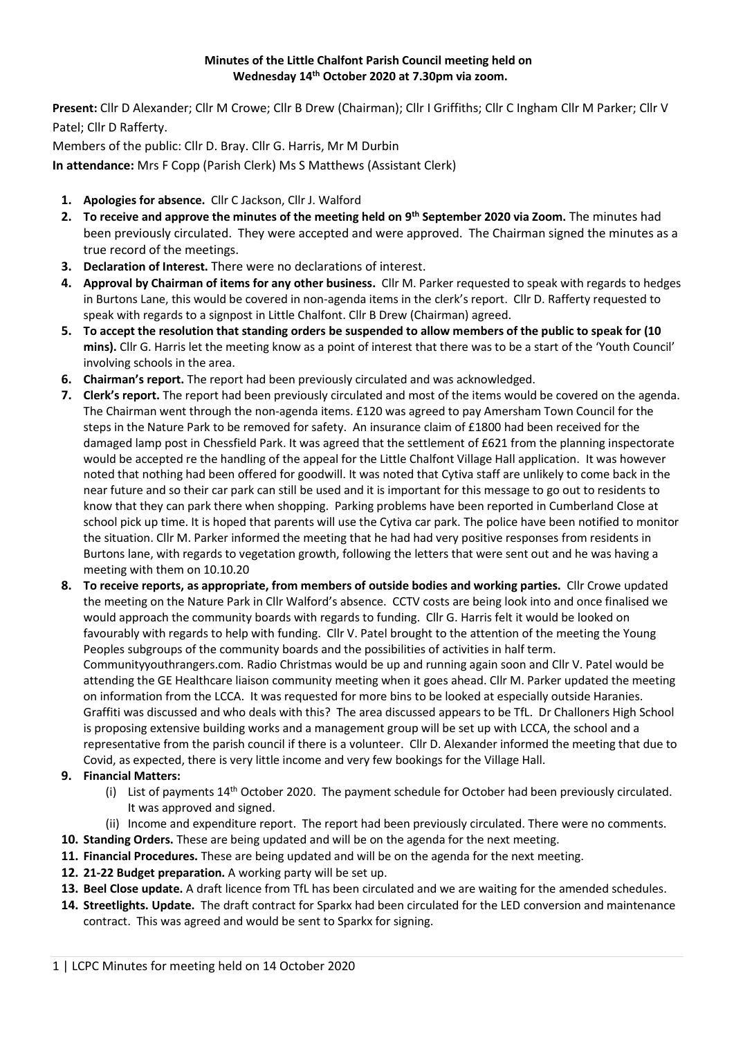## **Minutes of the Little Chalfont Parish Council meeting held on Wednesday 14th October 2020 at 7.30pm via zoom.**

**Present:** Cllr D Alexander; Cllr M Crowe; Cllr B Drew (Chairman); Cllr I Griffiths; Cllr C Ingham Cllr M Parker; Cllr V Patel; Cllr D Rafferty.

Members of the public: Cllr D. Bray. Cllr G. Harris, Mr M Durbin

**In attendance:** Mrs F Copp (Parish Clerk) Ms S Matthews (Assistant Clerk)

- **1. Apologies for absence.** Cllr C Jackson, Cllr J. Walford
- **2. To receive and approve the minutes of the meeting held on 9 th September 2020 via Zoom.** The minutes had been previously circulated. They were accepted and were approved. The Chairman signed the minutes as a true record of the meetings.
- **3. Declaration of Interest.** There were no declarations of interest.
- **4. Approval by Chairman of items for any other business.** Cllr M. Parker requested to speak with regards to hedges in Burtons Lane, this would be covered in non-agenda items in the clerk's report. Cllr D. Rafferty requested to speak with regards to a signpost in Little Chalfont. Cllr B Drew (Chairman) agreed.
- **5. To accept the resolution that standing orders be suspended to allow members of the public to speak for (10 mins).** Cllr G. Harris let the meeting know as a point of interest that there was to be a start of the 'Youth Council' involving schools in the area.
- **6. Chairman's report.** The report had been previously circulated and was acknowledged.
- **7. Clerk's report.** The report had been previously circulated and most of the items would be covered on the agenda. The Chairman went through the non-agenda items. £120 was agreed to pay Amersham Town Council for the steps in the Nature Park to be removed for safety. An insurance claim of £1800 had been received for the damaged lamp post in Chessfield Park. It was agreed that the settlement of £621 from the planning inspectorate would be accepted re the handling of the appeal for the Little Chalfont Village Hall application. It was however noted that nothing had been offered for goodwill. It was noted that Cytiva staff are unlikely to come back in the near future and so their car park can still be used and it is important for this message to go out to residents to know that they can park there when shopping. Parking problems have been reported in Cumberland Close at school pick up time. It is hoped that parents will use the Cytiva car park. The police have been notified to monitor the situation. Cllr M. Parker informed the meeting that he had had very positive responses from residents in Burtons lane, with regards to vegetation growth, following the letters that were sent out and he was having a meeting with them on 10.10.20
- **8. To receive reports, as appropriate, from members of outside bodies and working parties.** Cllr Crowe updated the meeting on the Nature Park in Cllr Walford's absence. CCTV costs are being look into and once finalised we would approach the community boards with regards to funding. Cllr G. Harris felt it would be looked on favourably with regards to help with funding. Cllr V. Patel brought to the attention of the meeting the Young Peoples subgroups of the community boards and the possibilities of activities in half term. Communityyouthrangers.com. Radio Christmas would be up and running again soon and Cllr V. Patel would be attending the GE Healthcare liaison community meeting when it goes ahead. Cllr M. Parker updated the meeting on information from the LCCA. It was requested for more bins to be looked at especially outside Haranies. Graffiti was discussed and who deals with this? The area discussed appears to be TfL. Dr Challoners High School is proposing extensive building works and a management group will be set up with LCCA, the school and a representative from the parish council if there is a volunteer. Cllr D. Alexander informed the meeting that due to Covid, as expected, there is very little income and very few bookings for the Village Hall.
- **9. Financial Matters:**
	- (i) List of payments  $14<sup>th</sup>$  October 2020. The payment schedule for October had been previously circulated. It was approved and signed.
	- (ii) Income and expenditure report. The report had been previously circulated. There were no comments.
- **10. Standing Orders.** These are being updated and will be on the agenda for the next meeting.
- **11. Financial Procedures.** These are being updated and will be on the agenda for the next meeting.
- **12. 21-22 Budget preparation.** A working party will be set up.
- **13. Beel Close update.** A draft licence from TfL has been circulated and we are waiting for the amended schedules.
- **14. Streetlights. Update.** The draft contract for Sparkx had been circulated for the LED conversion and maintenance contract. This was agreed and would be sent to Sparkx for signing.